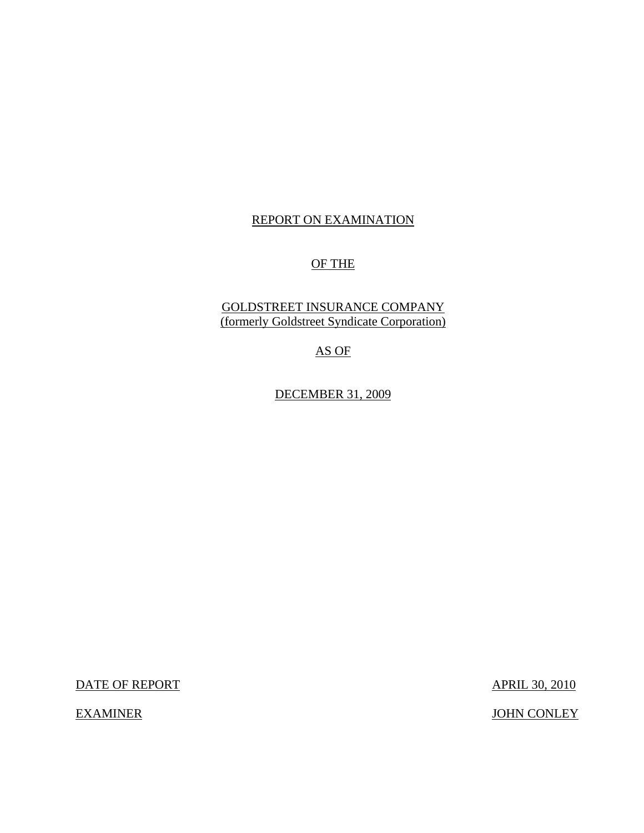## REPORT ON EXAMINATION

# OF THE

# GOLDSTREET INSURANCE COMPANY (formerly Goldstreet Syndicate Corporation)

AS OF

DECEMBER 31, 2009

DATE OF REPORT APRIL 30, 2010

EXAMINER JOHN CONLEY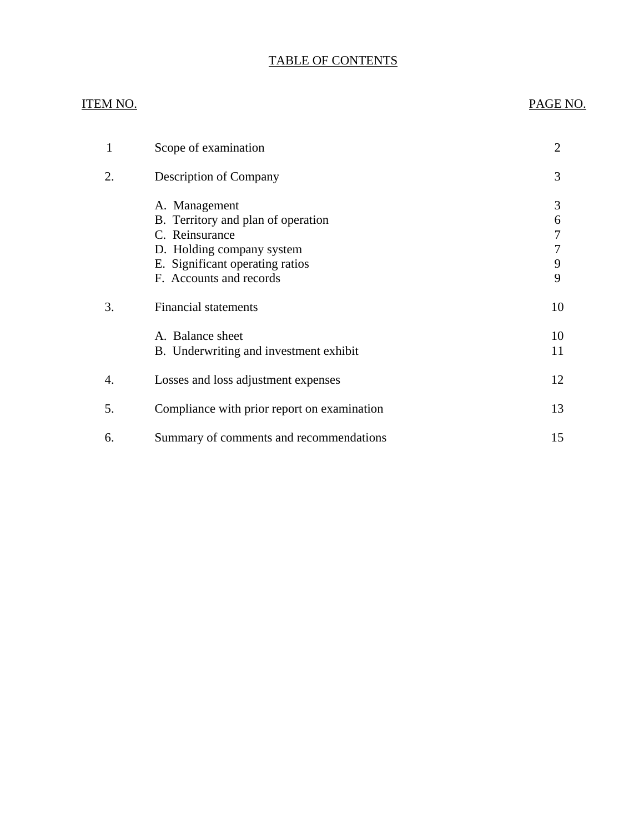# TABLE OF CONTENTS

#### ITEM NO. PAGE NO.

| 1  | Scope of examination                                                                                                                                             | $\overline{2}$        |
|----|------------------------------------------------------------------------------------------------------------------------------------------------------------------|-----------------------|
| 2. | <b>Description of Company</b>                                                                                                                                    | 3                     |
|    | A. Management<br>B. Territory and plan of operation<br>C. Reinsurance<br>D. Holding company system<br>E. Significant operating ratios<br>F. Accounts and records | 3<br>6<br>7<br>9<br>9 |
| 3. | <b>Financial statements</b>                                                                                                                                      | 10                    |
|    | A. Balance sheet<br>B. Underwriting and investment exhibit                                                                                                       | 10<br>11              |
| 4. | Losses and loss adjustment expenses                                                                                                                              | 12                    |
| 5. | Compliance with prior report on examination                                                                                                                      | 13                    |
| 6. | Summary of comments and recommendations                                                                                                                          | 15                    |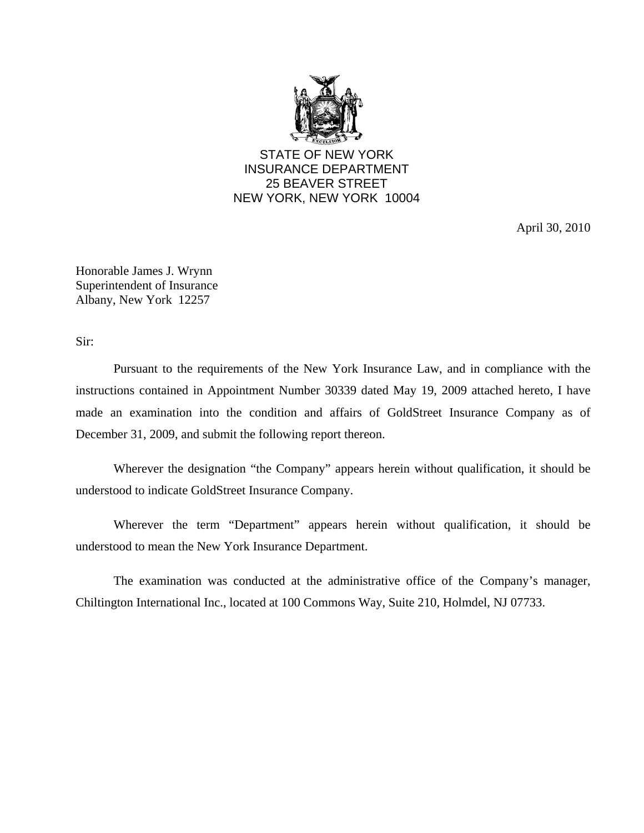

STATE OF NEW YORK INSURANCE DEPARTMENT 25 BEAVER STREET NEW YORK, NEW YORK 10004

April 30, 2010

Honorable James J. Wrynn Superintendent of Insurance Albany, New York 12257

Sir:

Pursuant to the requirements of the New York Insurance Law, and in compliance with the instructions contained in Appointment Number 30339 dated May 19, 2009 attached hereto, I have made an examination into the condition and affairs of GoldStreet Insurance Company as of December 31, 2009, and submit the following report thereon.

Wherever the designation "the Company" appears herein without qualification, it should be understood to indicate GoldStreet Insurance Company.

Wherever the term "Department" appears herein without qualification, it should be understood to mean the New York Insurance Department.

The examination was conducted at the administrative office of the Company's manager, Chiltington International Inc., located at 100 Commons Way, Suite 210, Holmdel, NJ 07733.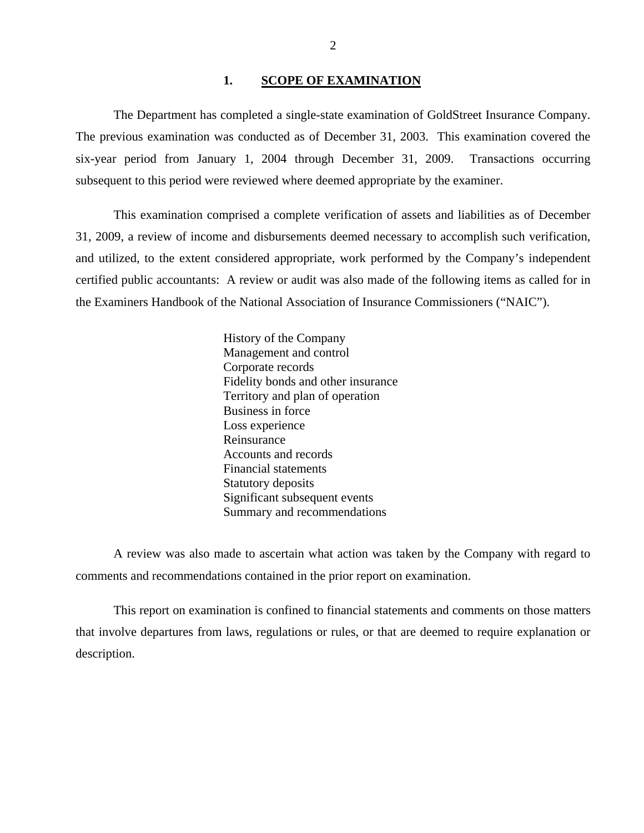#### 1. SCOPE OF EXAMINATION

<span id="page-3-0"></span>The Department has completed a single-state examination of GoldStreet Insurance Company. The previous examination was conducted as of December 31, 2003. This examination covered the six-year period from January 1, 2004 through December 31, 2009. Transactions occurring subsequent to this period were reviewed where deemed appropriate by the examiner.

This examination comprised a complete verification of assets and liabilities as of December 31, 2009, a review of income and disbursements deemed necessary to accomplish such verification, and utilized, to the extent considered appropriate, work performed by the Company's independent certified public accountants: A review or audit was also made of the following items as called for in the Examiners Handbook of the National Association of Insurance Commissioners ("NAIC").

> History of the Company Management and control Corporate records Fidelity bonds and other insurance Territory and plan of operation Business in force Loss experience Reinsurance Accounts and records Financial statements Statutory deposits Significant subsequent events Summary and recommendations

A review was also made to ascertain what action was taken by the Company with regard to comments and recommendations contained in the prior report on examination.

This report on examination is confined to financial statements and comments on those matters that involve departures from laws, regulations or rules, or that are deemed to require explanation or description.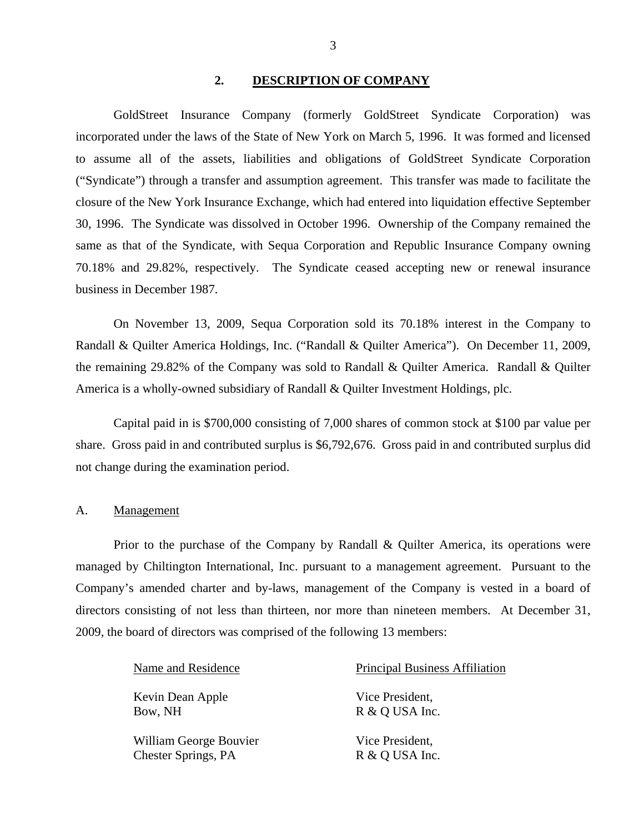#### **2. DESCRIPTION OF COMPANY**

GoldStreet Insurance Company (formerly GoldStreet Syndicate Corporation) was incorporated under the laws of the State of New York on March 5, 1996. It was formed and licensed to assume all of the assets, liabilities and obligations of GoldStreet Syndicate Corporation ("Syndicate") through a transfer and assumption agreement. This transfer was made to facilitate the closure of the New York Insurance Exchange, which had entered into liquidation effective September 30, 1996. The Syndicate was dissolved in October 1996. Ownership of the Company remained the same as that of the Syndicate, with Sequa Corporation and Republic Insurance Company owning 70.18% and 29.82%, respectively. The Syndicate ceased accepting new or renewal insurance business in December 1987.

On November 13, 2009, Sequa Corporation sold its 70.18% interest in the Company to Randall & Quilter America Holdings, Inc. ("Randall & Quilter America"). On December 11, 2009, the remaining 29.82% of the Company was sold to Randall & Quilter America. Randall & Quilter America is a wholly-owned subsidiary of Randall & Quilter Investment Holdings, plc.

Capital paid in is \$700,000 consisting of 7,000 shares of common stock at \$100 par value per share. Gross paid in and contributed surplus is \$6,792,676. Gross paid in and contributed surplus did not change during the examination period.

#### A. Management

Prior to the purchase of the Company by Randall & Quilter America, its operations were managed by Chiltington International, Inc. pursuant to a management agreement. Pursuant to the Company's amended charter and by-laws, management of the Company is vested in a board of directors consisting of not less than thirteen, nor more than nineteen members. At December 31, 2009, the board of directors was comprised of the following 13 members:

Kevin Dean Apple Bow, NH

William George Bouvier Chester Springs, PA

Name and Residence Principal Business Affiliation

Vice President, R & Q USA Inc.

Vice President, R & Q USA Inc.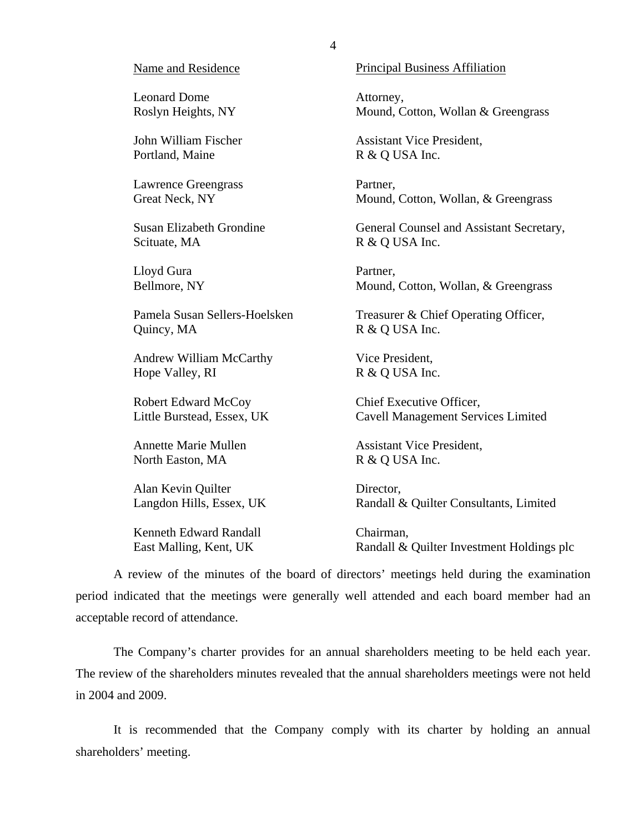#### Name and Residence

Leonard Dome Roslyn Heights, NY

John William Fischer Portland, Maine

Lawrence Greengrass Great Neck, NY

Susan Elizabeth Grondine Scituate, MA

Lloyd Gura Bellmore, NY

Pamela Susan Sellers-Hoelsken Quincy, MA

Andrew William McCarthy Hope Valley, RI

Robert Edward McCoy Little Burstead, Essex, UK

Annette Marie Mullen North Easton, MA

Alan Kevin Quilter Langdon Hills, Essex, UK

Kenneth Edward Randall East Malling, Kent, UK

Principal Business Affiliation

Attorney, Mound, Cotton, Wollan & Greengrass

Assistant Vice President, R & Q USA Inc.

Partner, Mound, Cotton, Wollan, & Greengrass

General Counsel and Assistant Secretary, R & Q USA Inc.

Partner, Mound, Cotton, Wollan, & Greengrass

Treasurer & Chief Operating Officer, R & Q USA Inc.

Vice President, R & Q USA Inc.

Chief Executive Officer, Cavell Management Services Limited

Assistant Vice President, R & Q USA Inc.

Director, Randall & Quilter Consultants, Limited

Chairman, Randall & Quilter Investment Holdings plc

A review of the minutes of the board of directors' meetings held during the examination period indicated that the meetings were generally well attended and each board member had an acceptable record of attendance.

The Company's charter provides for an annual shareholders meeting to be held each year. The review of the shareholders minutes revealed that the annual shareholders meetings were not held in 2004 and 2009.

It is recommended that the Company comply with its charter by holding an annual shareholders' meeting.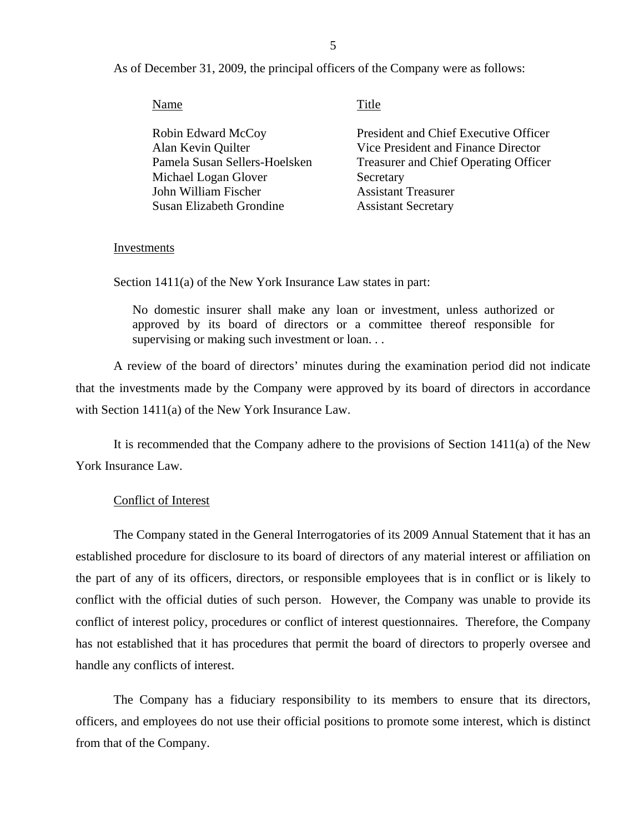As of December 31, 2009, the principal officers of the Company were as follows:

Title

| <b>Robin Edward McCoy</b>     | President and Chief Executive Officer        |
|-------------------------------|----------------------------------------------|
| Alan Kevin Quilter            | Vice President and Finance Director          |
| Pamela Susan Sellers-Hoelsken | <b>Treasurer and Chief Operating Officer</b> |
| Michael Logan Glover          | Secretary                                    |
| John William Fischer          | <b>Assistant Treasurer</b>                   |
| Susan Elizabeth Grondine      | <b>Assistant Secretary</b>                   |
|                               |                                              |

#### Investments

Section 1411(a) of the New York Insurance Law states in part:

No domestic insurer shall make any loan or investment, unless authorized or approved by its board of directors or a committee thereof responsible for supervising or making such investment or loan...

A review of the board of directors' minutes during the examination period did not indicate that the investments made by the Company were approved by its board of directors in accordance with Section 1411(a) of the New York Insurance Law.

It is recommended that the Company adhere to the provisions of Section 1411(a) of the New York Insurance Law.

#### Conflict of Interest

The Company stated in the General Interrogatories of its 2009 Annual Statement that it has an established procedure for disclosure to its board of directors of any material interest or affiliation on the part of any of its officers, directors, or responsible employees that is in conflict or is likely to conflict with the official duties of such person. However, the Company was unable to provide its conflict of interest policy, procedures or conflict of interest questionnaires. Therefore, the Company has not established that it has procedures that permit the board of directors to properly oversee and handle any conflicts of interest.

The Company has a fiduciary responsibility to its members to ensure that its directors, officers, and employees do not use their official positions to promote some interest, which is distinct from that of the Company.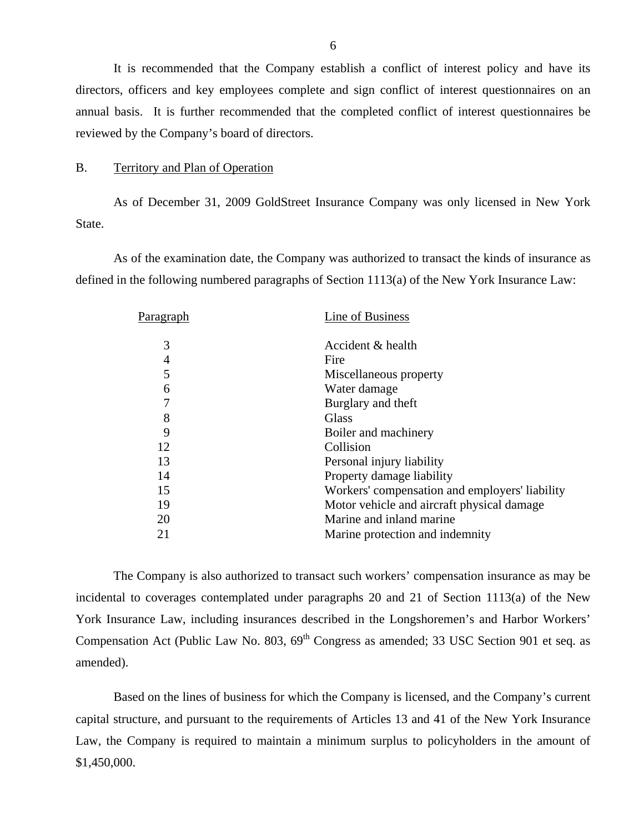<span id="page-7-0"></span>It is recommended that the Company establish a conflict of interest policy and have its directors, officers and key employees complete and sign conflict of interest questionnaires on an annual basis. It is further recommended that the completed conflict of interest questionnaires be reviewed by the Company's board of directors.

#### B. Territory and Plan of Operation

As of December 31, 2009 GoldStreet Insurance Company was only licensed in New York State.

As of the examination date, the Company was authorized to transact the kinds of insurance as defined in the following numbered paragraphs of Section 1113(a) of the New York Insurance Law:

| P <u>aragraph</u> | Line of Business                               |
|-------------------|------------------------------------------------|
| 3                 | Accident & health                              |
| 4                 | Fire                                           |
| 5                 | Miscellaneous property                         |
| 6                 | Water damage                                   |
| $\overline{7}$    | Burglary and theft                             |
| 8                 | Glass                                          |
| 9                 | Boiler and machinery                           |
| 12                | Collision                                      |
| 13                | Personal injury liability                      |
| 14                | Property damage liability                      |
| 15                | Workers' compensation and employers' liability |
| 19                | Motor vehicle and aircraft physical damage.    |
| 20                | Marine and inland marine                       |
| 21                | Marine protection and indemnity                |
|                   |                                                |

The Company is also authorized to transact such workers' compensation insurance as may be incidental to coverages contemplated under paragraphs 20 and 21 of Section 1113(a) of the New York Insurance Law, including insurances described in the Longshoremen's and Harbor Workers' Compensation Act (Public Law No. 803,  $69<sup>th</sup>$  Congress as amended; 33 USC Section 901 et seq. as amended).

Based on the lines of business for which the Company is licensed, and the Company's current capital structure, and pursuant to the requirements of Articles 13 and 41 of the New York Insurance Law, the Company is required to maintain a minimum surplus to policyholders in the amount of \$1,450,000.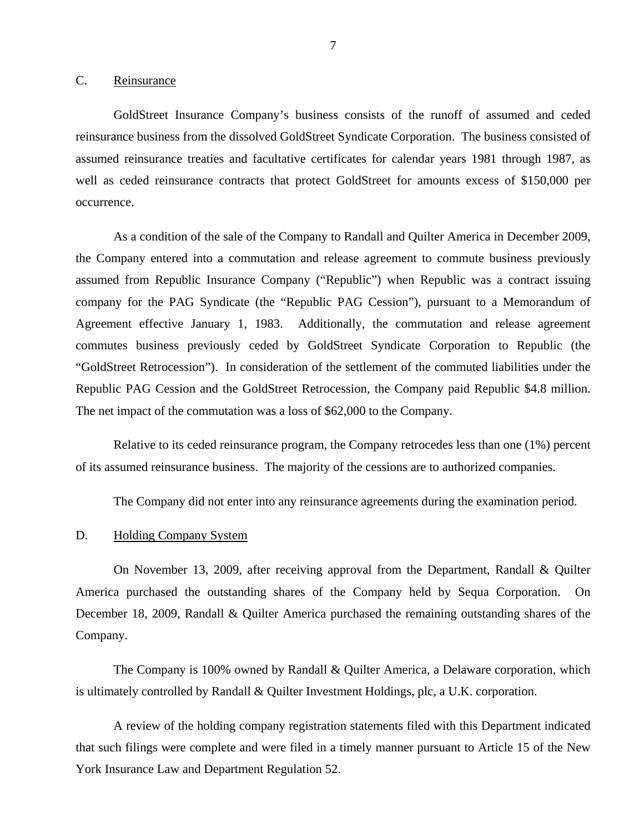#### <span id="page-8-0"></span>C. Reinsurance

GoldStreet Insurance Company's business consists of the runoff of assumed and ceded reinsurance business from the dissolved GoldStreet Syndicate Corporation. The business consisted of assumed reinsurance treaties and facultative certificates for calendar years 1981 through 1987, as well as ceded reinsurance contracts that protect GoldStreet for amounts excess of \$150,000 per occurrence.

As a condition of the sale of the Company to Randall and Quilter America in December 2009, the Company entered into a commutation and release agreement to commute business previously assumed from Republic Insurance Company ("Republic") when Republic was a contract issuing company for the PAG Syndicate (the "Republic PAG Cession"), pursuant to a Memorandum of Agreement effective January 1, 1983. Additionally, the commutation and release agreement commutes business previously ceded by GoldStreet Syndicate Corporation to Republic (the "GoldStreet Retrocession"). In consideration of the settlement of the commuted liabilities under the Republic PAG Cession and the GoldStreet Retrocession, the Company paid Republic \$4.8 million. The net impact of the commutation was a loss of \$62,000 to the Company.

Relative to its ceded reinsurance program, the Company retrocedes less than one (1%) percent of its assumed reinsurance business. The majority of the cessions are to authorized companies.

The Company did not enter into any reinsurance agreements during the examination period.

#### D. Holding Company System

On November 13, 2009, after receiving approval from the Department, Randall & Quilter America purchased the outstanding shares of the Company held by Sequa Corporation. On December 18, 2009, Randall & Quilter America purchased the remaining outstanding shares of the Company.

The Company is 100% owned by Randall & Quilter America, a Delaware corporation, which is ultimately controlled by Randall & Quilter Investment Holdings, plc, a U.K. corporation.

A review of the holding company registration statements filed with this Department indicated that such filings were complete and were filed in a timely manner pursuant to Article 15 of the New York Insurance Law and Department Regulation 52.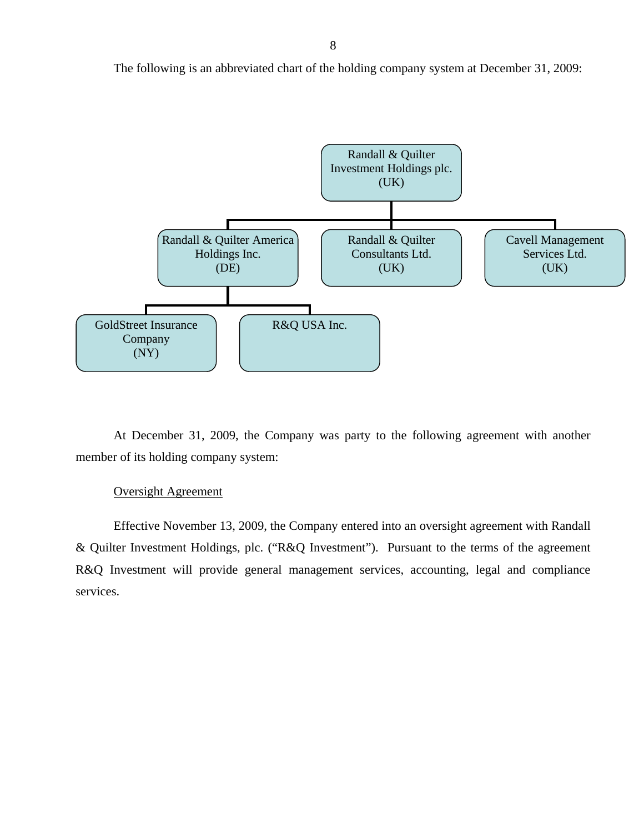The following is an abbreviated chart of the holding company system at December 31, 2009:



At December 31, 2009, the Company was party to the following agreement with another member of its holding company system:

#### Oversight Agreement

Effective November 13, 2009, the Company entered into an oversight agreement with Randall & Quilter Investment Holdings, plc. ("R&Q Investment"). Pursuant to the terms of the agreement R&Q Investment will provide general management services, accounting, legal and compliance services.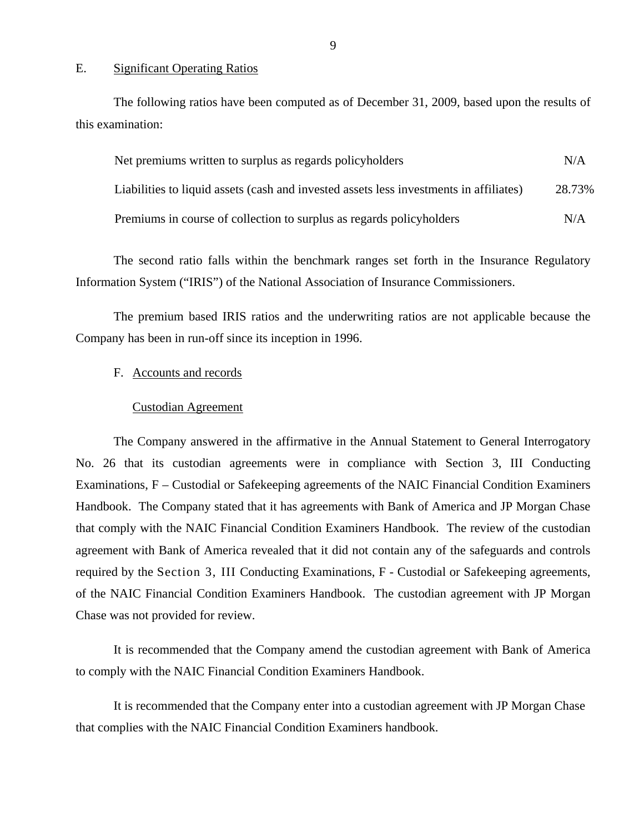#### E. Significant Operating Ratios

The following ratios have been computed as of December 31, 2009, based upon the results of this examination:

| Net premiums written to surplus as regards policyholders                               | N/A    |
|----------------------------------------------------------------------------------------|--------|
| Liabilities to liquid assets (cash and invested assets less investments in affiliates) | 28.73% |
| Premiums in course of collection to surplus as regards policyholders                   | N/A    |

The second ratio falls within the benchmark ranges set forth in the Insurance Regulatory Information System ("IRIS") of the National Association of Insurance Commissioners.

The premium based IRIS ratios and the underwriting ratios are not applicable because the Company has been in run-off since its inception in 1996.

#### F. Accounts and records

#### Custodian Agreement

The Company answered in the affirmative in the Annual Statement to General Interrogatory No. 26 that its custodian agreements were in compliance with Section 3, III Conducting Examinations, F – Custodial or Safekeeping agreements of the NAIC Financial Condition Examiners Handbook. The Company stated that it has agreements with Bank of America and JP Morgan Chase that comply with the NAIC Financial Condition Examiners Handbook. The review of the custodian agreement with Bank of America revealed that it did not contain any of the safeguards and controls required by the Section 3, III Conducting Examinations, F - Custodial or Safekeeping agreements, of the NAIC Financial Condition Examiners Handbook. The custodian agreement with JP Morgan Chase was not provided for review.

It is recommended that the Company amend the custodian agreement with Bank of America to comply with the NAIC Financial Condition Examiners Handbook.

It is recommended that the Company enter into a custodian agreement with JP Morgan Chase that complies with the NAIC Financial Condition Examiners handbook.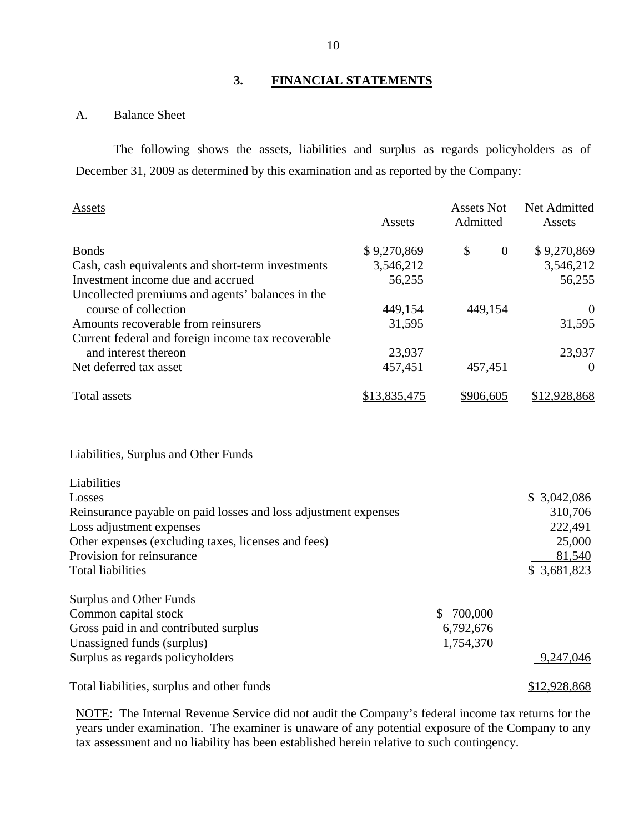#### **3. FINANCIAL STATEMENTS**

# A. Balance Sheet

The following shows the assets, liabilities and surplus as regards policyholders as of December 31, 2009 as determined by this examination and as reported by the Company:

| Assets                                             | Assets       | <b>Assets Not</b><br>Admitted | Net Admitted<br>Assets |
|----------------------------------------------------|--------------|-------------------------------|------------------------|
| <b>Bonds</b>                                       | \$9,270,869  | \$<br>$\overline{0}$          | \$9,270,869            |
| Cash, cash equivalents and short-term investments  | 3,546,212    |                               | 3,546,212              |
| Investment income due and accrued                  | 56,255       |                               | 56,255                 |
| Uncollected premiums and agents' balances in the   |              |                               |                        |
| course of collection                               | 449,154      | 449,154                       | $\theta$               |
| Amounts recoverable from reinsurers                | 31,595       |                               | 31,595                 |
| Current federal and foreign income tax recoverable |              |                               |                        |
| and interest thereon                               | 23,937       |                               | 23,937                 |
| Net deferred tax asset                             | 457,451      | 457,451                       |                        |
| Total assets                                       | \$13,835,475 | \$906,605                     | \$12,928,868           |

## Liabilities, Surplus and Other Funds

| Liabilities                                                     |           |              |
|-----------------------------------------------------------------|-----------|--------------|
| Losses                                                          |           | \$3,042,086  |
| Reinsurance payable on paid losses and loss adjustment expenses |           | 310,706      |
| Loss adjustment expenses                                        |           | 222,491      |
| Other expenses (excluding taxes, licenses and fees)             |           | 25,000       |
| Provision for reinsurance                                       |           | 81,540       |
| <b>Total liabilities</b>                                        |           | \$3,681,823  |
| <b>Surplus and Other Funds</b>                                  |           |              |
| Common capital stock                                            | 700,000   |              |
| Gross paid in and contributed surplus                           | 6,792,676 |              |
| Unassigned funds (surplus)                                      | 1,754,370 |              |
| Surplus as regards policyholders                                |           | 9,247,046    |
| Total liabilities, surplus and other funds                      |           | \$12,928,868 |

NOTE: The Internal Revenue Service did not audit the Company's federal income tax returns for the years under examination. The examiner is unaware of any potential exposure of the Company to any tax assessment and no liability has been established herein relative to such contingency.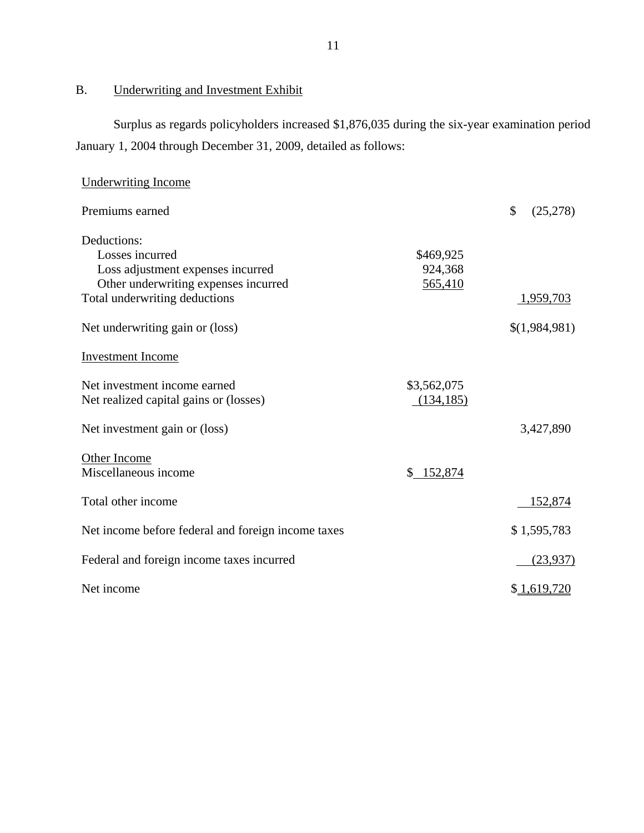<span id="page-12-0"></span>B. Underwriting and Investment Exhibit

Surplus as regards policyholders increased \$1,876,035 during the six-year examination period January 1, 2004 through December 31, 2009, detailed as follows:

| <b>Underwriting Income</b>                                                                                                                                                      |                                 |                            |
|---------------------------------------------------------------------------------------------------------------------------------------------------------------------------------|---------------------------------|----------------------------|
| Premiums earned                                                                                                                                                                 |                                 | \$<br>(25, 278)            |
| Deductions:<br>Losses incurred<br>Loss adjustment expenses incurred<br>Other underwriting expenses incurred<br>Total underwriting deductions<br>Net underwriting gain or (loss) | \$469,925<br>924,368<br>565,410 | 1,959,703<br>\$(1,984,981) |
| <b>Investment Income</b>                                                                                                                                                        |                                 |                            |
| Net investment income earned<br>Net realized capital gains or (losses)                                                                                                          | \$3,562,075<br>(134, 185)       |                            |
| Net investment gain or (loss)                                                                                                                                                   |                                 | 3,427,890                  |
| Other Income<br>Miscellaneous income                                                                                                                                            | $\mathbb{S}^-$<br>152,874       |                            |
| Total other income                                                                                                                                                              |                                 | 152,874                    |
| Net income before federal and foreign income taxes                                                                                                                              |                                 | \$1,595,783                |
| Federal and foreign income taxes incurred                                                                                                                                       |                                 | (23,937)                   |
| Net income                                                                                                                                                                      |                                 | \$1,619,720                |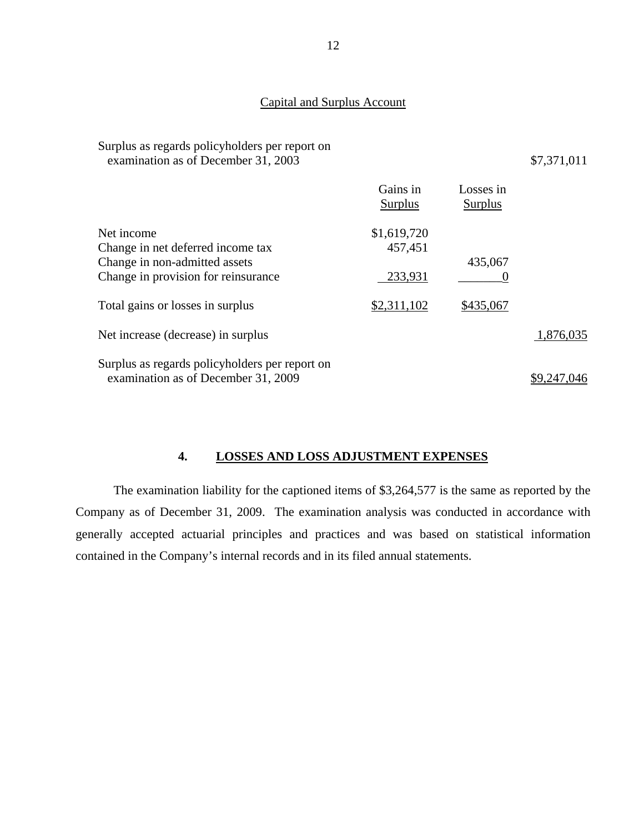# Capital and Surplus Account

| Surplus as regards policyholders per report on<br>examination as of December 31, 2003 |                            |                             | \$7,371,011 |
|---------------------------------------------------------------------------------------|----------------------------|-----------------------------|-------------|
|                                                                                       | Gains in<br><b>Surplus</b> | Losses in<br><b>Surplus</b> |             |
| Net income                                                                            | \$1,619,720                |                             |             |
| Change in net deferred income tax                                                     | 457,451                    |                             |             |
| Change in non-admitted assets                                                         |                            | 435,067                     |             |
| Change in provision for reinsurance                                                   | 233,931                    | O                           |             |
| Total gains or losses in surplus                                                      | \$2,311,102                | \$435,067                   |             |
| Net increase (decrease) in surplus                                                    |                            |                             | 1,876,035   |
| Surplus as regards policyholders per report on                                        |                            |                             |             |
| examination as of December 31, 2009                                                   |                            |                             | \$9,247,046 |

# **4. LOSSES AND LOSS ADJUSTMENT EXPENSES**

The examination liability for the captioned items of \$3,264,577 is the same as reported by the Company as of December 31, 2009. The examination analysis was conducted in accordance with generally accepted actuarial principles and practices and was based on statistical information contained in the Company's internal records and in its filed annual statements.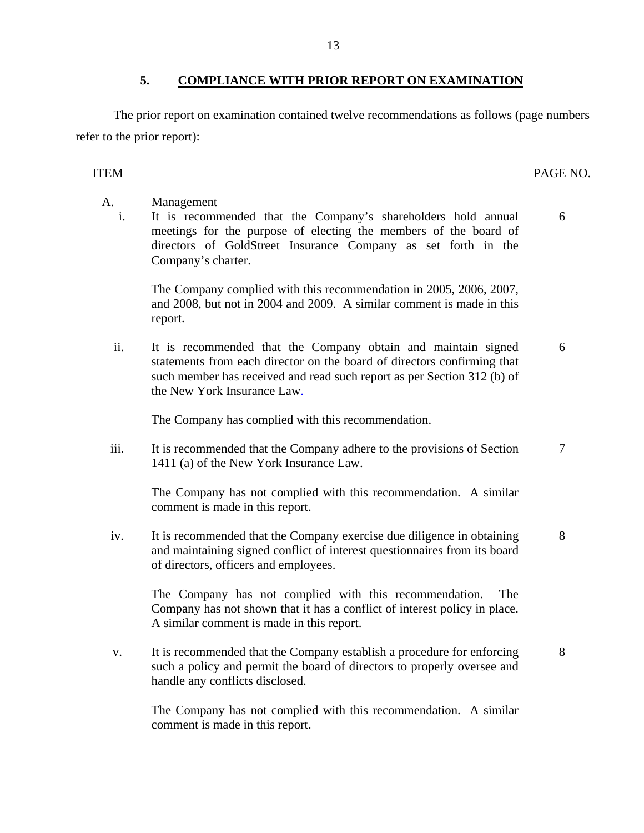<span id="page-14-0"></span>The prior report on examination contained twelve recommendations as follows (page numbers refer to the prior report):

## ITEM PAGE NO.

- A. Management
	- i. It is recommended that the Company's shareholders hold annual meetings for the purpose of electing the members of the board of directors of GoldStreet Insurance Company as set forth in the Company's charter. 6

The Company complied with this recommendation in 2005, 2006, 2007, and 2008, but not in 2004 and 2009. A similar comment is made in this report.

ii. It is recommended that the Company obtain and maintain signed statements from each director on the board of directors confirming that such member has received and read such report as per Section 312 (b) of the New York Insurance Law. 6

The Company has complied with this recommendation.

iii. It is recommended that the Company adhere to the provisions of Section 1411 (a) of the New York Insurance Law. 7

The Company has not complied with this recommendation. A similar comment is made in this report.

iv. It is recommended that the Company exercise due diligence in obtaining and maintaining signed conflict of interest questionnaires from its board of directors, officers and employees. 8

The Company has not complied with this recommendation. The Company has not shown that it has a conflict of interest policy in place. A similar comment is made in this report.

v. It is recommended that the Company establish a procedure for enforcing such a policy and permit the board of directors to properly oversee and handle any conflicts disclosed. 8

The Company has not complied with this recommendation. A similar comment is made in this report.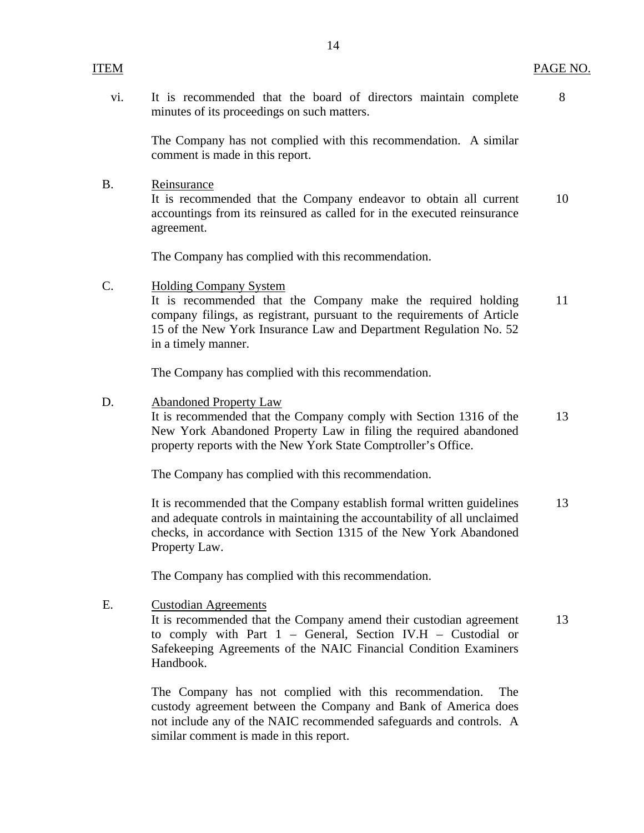vi. It is recommended that the board of directors maintain complete 8 minutes of its proceedings on such matters.

The Company has not complied with this recommendation. A similar comment is made in this report.

B. Reinsurance

It is recommended that the Company endeavor to obtain all current 10 accountings from its reinsured as called for in the executed reinsurance agreement.

The Company has complied with this recommendation.

C. Holding Company System

It is recommended that the Company make the required holding 11 company filings, as registrant, pursuant to the requirements of Article 15 of the New York Insurance Law and Department Regulation No. 52 in a timely manner.

The Company has complied with this recommendation.

D. Abandoned Property Law

It is recommended that the Company comply with Section 1316 of the 13 New York Abandoned Property Law in filing the required abandoned property reports with the New York State Comptroller's Office.

The Company has complied with this recommendation.

It is recommended that the Company establish formal written guidelines 13 and adequate controls in maintaining the accountability of all unclaimed checks, in accordance with Section 1315 of the New York Abandoned Property Law.

The Company has complied with this recommendation.

E. Custodian Agreements

It is recommended that the Company amend their custodian agreement 13 to comply with Part 1 – General, Section IV.H – Custodial or Safekeeping Agreements of the NAIC Financial Condition Examiners Handbook.

The Company has not complied with this recommendation. The custody agreement between the Company and Bank of America does not include any of the NAIC recommended safeguards and controls. A similar comment is made in this report.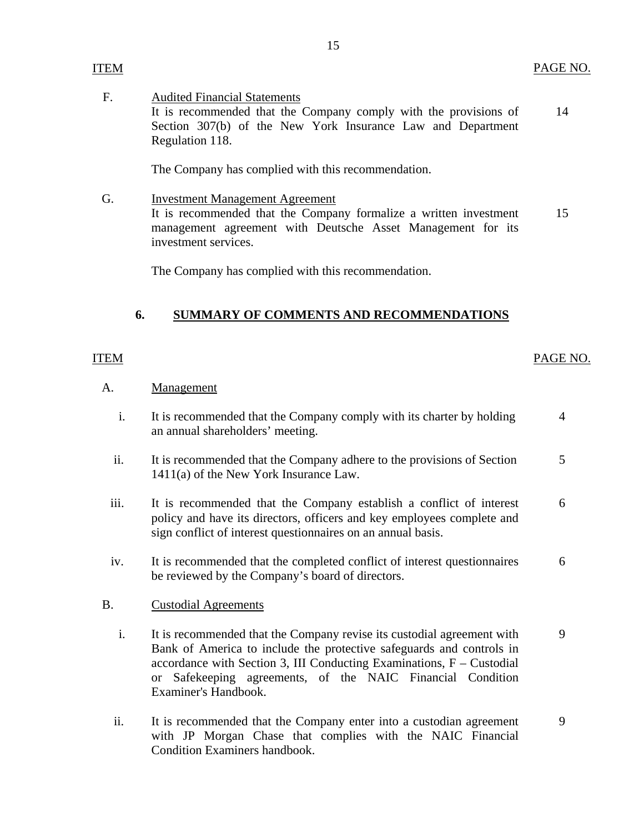F. Audited Financial Statements It is recommended that the Company comply with the provisions of Section 307(b) of the New York Insurance Law and Department Regulation 118. 14

The Company has complied with this recommendation.

G. Investment Management Agreement It is recommended that the Company formalize a written investment management agreement with Deutsche Asset Management for its investment services. 15

The Company has complied with this recommendation.

# **6. SUMMARY OF COMMENTS AND RECOMMENDATIONS**

#### ITEM

<span id="page-16-0"></span>ITEM

## PAGE NO.

#### A. Management

- i. It is recommended that the Company comply with its charter by holding an annual shareholders' meeting. 4
- ii. It is recommended that the Company adhere to the provisions of Section 1411(a) of the New York Insurance Law. 5
- iii. It is recommended that the Company establish a conflict of interest policy and have its directors, officers and key employees complete and sign conflict of interest questionnaires on an annual basis. 6
- iv. It is recommended that the completed conflict of interest questionnaires be reviewed by the Company's board of directors. 6

#### B. Custodial Agreements

- i. It is recommended that the Company revise its custodial agreement with Bank of America to include the protective safeguards and controls in accordance with Section 3, III Conducting Examinations, F – Custodial or Safekeeping agreements, of the NAIC Financial Condition Examiner's Handbook. 9
- ii. It is recommended that the Company enter into a custodian agreement with JP Morgan Chase that complies with the NAIC Financial Condition Examiners handbook. 9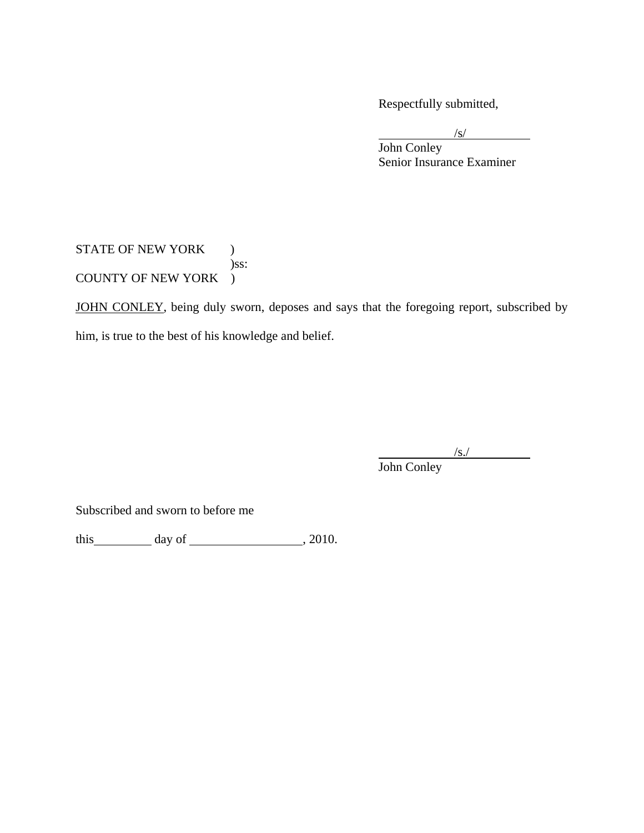Respectfully submitted,

 $\sqrt{s}$ 

 John Conley Senior Insurance Examiner

STATE OF NEW YORK ) )ss: COUNTY OF NEW YORK )

JOHN CONLEY, being duly sworn, deposes and says that the foregoing report, subscribed by him, is true to the best of his knowledge and belief.

 $\frac{1}{s}$ John Conley

Subscribed and sworn to before me

this  $\qquad \qquad$  day of  $\qquad \qquad$  , 2010.